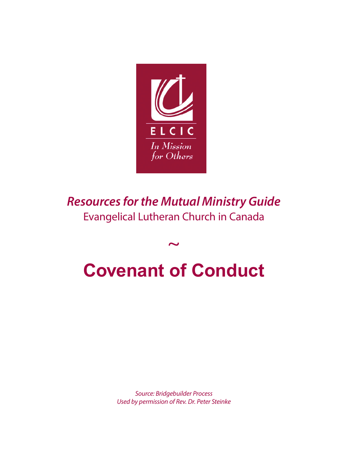

*Resources for the Mutual Ministry Guide* Evangelical Lutheran Church in Canada

## $\sim$ **Covenant of Conduct**

*Source: Bridgebuilder Process Used by permission of Rev. Dr. Peter Steinke*